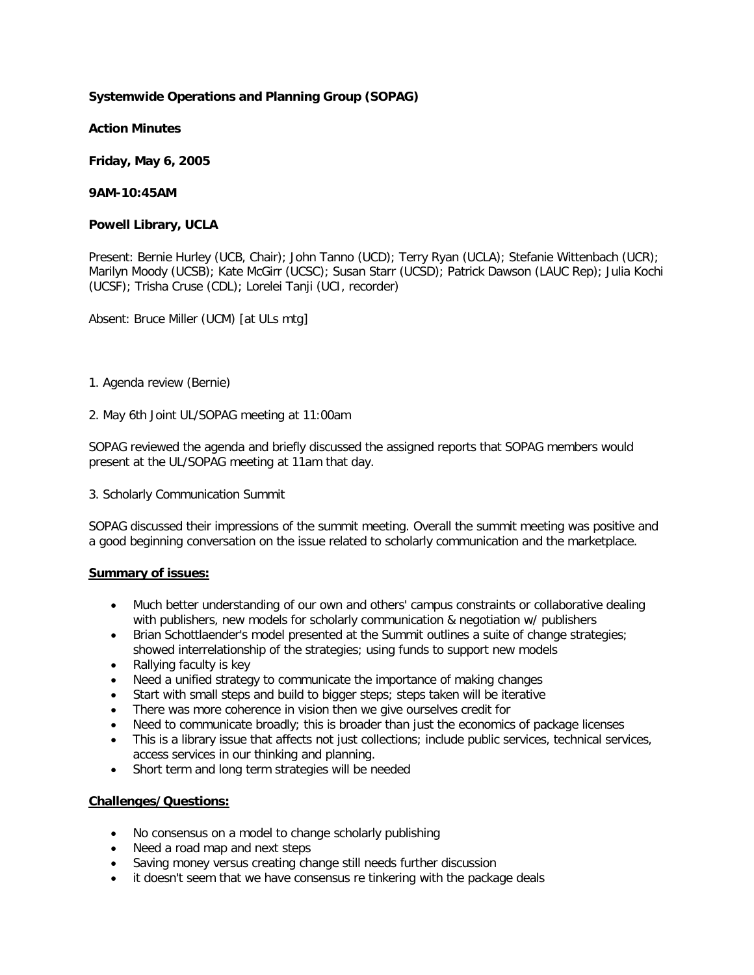## **Systemwide Operations and Planning Group (SOPAG)**

**Action Minutes**

**Friday, May 6, 2005**

**9AM-10:45AM**

### **Powell Library, UCLA**

Present: Bernie Hurley (UCB, Chair); John Tanno (UCD); Terry Ryan (UCLA); Stefanie Wittenbach (UCR); Marilyn Moody (UCSB); Kate McGirr (UCSC); Susan Starr (UCSD); Patrick Dawson (LAUC Rep); Julia Kochi (UCSF); Trisha Cruse (CDL); Lorelei Tanji (UCI, recorder)

Absent: Bruce Miller (UCM) [at ULs mtg]

- 1. Agenda review (Bernie)
- 2. May 6th Joint UL/SOPAG meeting at 11:00am

SOPAG reviewed the agenda and briefly discussed the assigned reports that SOPAG members would present at the UL/SOPAG meeting at 11am that day.

3. Scholarly Communication Summit

SOPAG discussed their impressions of the summit meeting. Overall the summit meeting was positive and a good beginning conversation on the issue related to scholarly communication and the marketplace.

### **Summary of issues:**

- Much better understanding of our own and others' campus constraints or collaborative dealing with publishers, new models for scholarly communication & negotiation w/ publishers
- Brian Schottlaender's model presented at the Summit outlines a suite of change strategies; showed interrelationship of the strategies; using funds to support new models
- Rallying faculty is key
- Need a unified strategy to communicate the importance of making changes
- Start with small steps and build to bigger steps; steps taken will be iterative
- There was more coherence in vision then we give ourselves credit for
- Need to communicate broadly; this is broader than just the economics of package licenses
- This is a library issue that affects not just collections; include public services, technical services, access services in our thinking and planning.
- Short term and long term strategies will be needed

# **Challenges/Questions:**

- No consensus on a model to change scholarly publishing
- Need a road map and next steps
- Saving money versus creating change still needs further discussion
- it doesn't seem that we have consensus re tinkering with the package deals